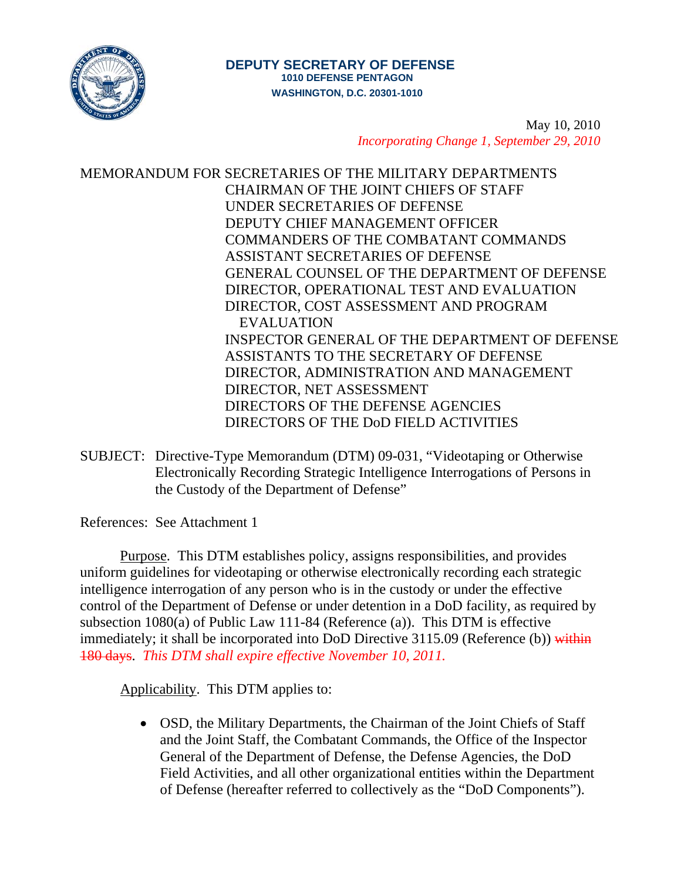

# **DEPUTY SECRETARY OF DEFENSE 1010 DEFENSE PENTAGON WASHINGTON, D.C. 20301-1010**

May 10, 2010 *Incorporating Change 1, September 29, 2010* 

MEMORANDUM FOR SECRETARIES OF THE MILITARY DEPARTMENTS CHAIRMAN OF THE JOINT CHIEFS OF STAFF UNDER SECRETARIES OF DEFENSE DEPUTY CHIEF MANAGEMENT OFFICER COMMANDERS OF THE COMBATANT COMMANDS ASSISTANT SECRETARIES OF DEFENSE GENERAL COUNSEL OF THE DEPARTMENT OF DEFENSE DIRECTOR, OPERATIONAL TEST AND EVALUATION DIRECTOR, COST ASSESSMENT AND PROGRAM EVALUATION INSPECTOR GENERAL OF THE DEPARTMENT OF DEFENSE ASSISTANTS TO THE SECRETARY OF DEFENSE DIRECTOR, ADMINISTRATION AND MANAGEMENT DIRECTOR, NET ASSESSMENT DIRECTORS OF THE DEFENSE AGENCIES DIRECTORS OF THE DoD FIELD ACTIVITIES

SUBJECT: Directive-Type Memorandum (DTM) 09-031, "Videotaping or Otherwise Electronically Recording Strategic Intelligence Interrogations of Persons in the Custody of the Department of Defense"

References: See Attachment 1

Purpose. This DTM establishes policy, assigns responsibilities, and provides uniform guidelines for videotaping or otherwise electronically recording each strategic intelligence interrogation of any person who is in the custody or under the effective control of the Department of Defense or under detention in a DoD facility, as required by subsection 1080(a) of Public Law 111-84 (Reference (a)). This DTM is effective immediately; it shall be incorporated into DoD Directive 3115.09 (Reference (b)) within 180 days. *This DTM shall expire effective November 10, 2011.* 

Applicability. This DTM applies to:

• OSD, the Military Departments, the Chairman of the Joint Chiefs of Staff and the Joint Staff, the Combatant Commands, the Office of the Inspector General of the Department of Defense, the Defense Agencies, the DoD Field Activities, and all other organizational entities within the Department of Defense (hereafter referred to collectively as the "DoD Components").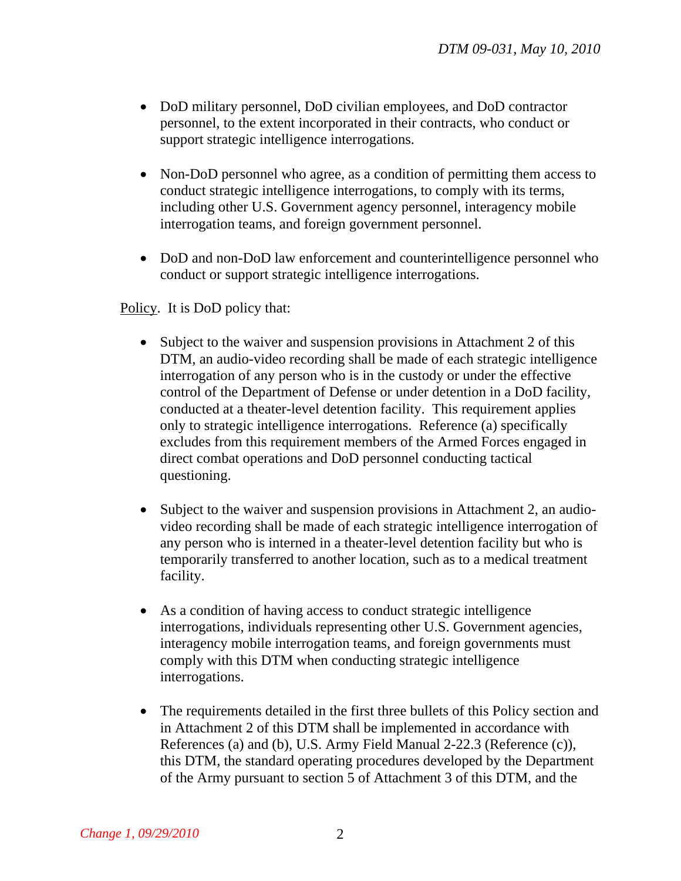- DoD military personnel, DoD civilian employees, and DoD contractor personnel, to the extent incorporated in their contracts, who conduct or support strategic intelligence interrogations.
- Non-DoD personnel who agree, as a condition of permitting them access to conduct strategic intelligence interrogations, to comply with its terms, including other U.S. Government agency personnel, interagency mobile interrogation teams, and foreign government personnel.
- DoD and non-DoD law enforcement and counterintelligence personnel who conduct or support strategic intelligence interrogations.

Policy. It is DoD policy that:

- Subject to the waiver and suspension provisions in Attachment 2 of this DTM, an audio-video recording shall be made of each strategic intelligence interrogation of any person who is in the custody or under the effective control of the Department of Defense or under detention in a DoD facility, conducted at a theater-level detention facility. This requirement applies only to strategic intelligence interrogations. Reference (a) specifically excludes from this requirement members of the Armed Forces engaged in direct combat operations and DoD personnel conducting tactical questioning.
- Subject to the waiver and suspension provisions in Attachment 2, an audiovideo recording shall be made of each strategic intelligence interrogation of any person who is interned in a theater-level detention facility but who is temporarily transferred to another location, such as to a medical treatment facility.
- As a condition of having access to conduct strategic intelligence interrogations, individuals representing other U.S. Government agencies, interagency mobile interrogation teams, and foreign governments must comply with this DTM when conducting strategic intelligence interrogations.
- The requirements detailed in the first three bullets of this Policy section and in Attachment 2 of this DTM shall be implemented in accordance with References (a) and (b), U.S. Army Field Manual 2-22.3 (Reference (c)), this DTM, the standard operating procedures developed by the Department of the Army pursuant to section 5 of Attachment 3 of this DTM, and the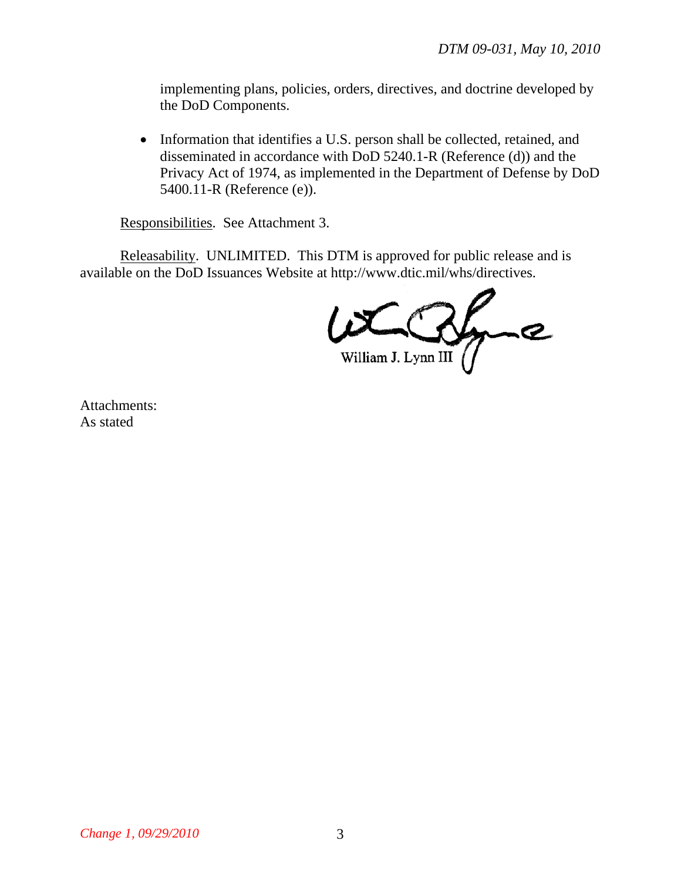implementing plans, policies, orders, directives, and doctrine developed by the DoD Components.

• Information that identifies a U.S. person shall be collected, retained, and disseminated in accordance with DoD 5240.1-R (Reference (d)) and the Privacy Act of 1974, as implemented in the Department of Defense by DoD 5400.11-R (Reference (e)).

Responsibilities. See Attachment 3.

Releasability. UNLIMITED. This DTM is approved for public release and is available on the DoD Issuances Website at http://www.dtic.mil/whs/directives.

Inc William J. Lynn III

Attachments: As stated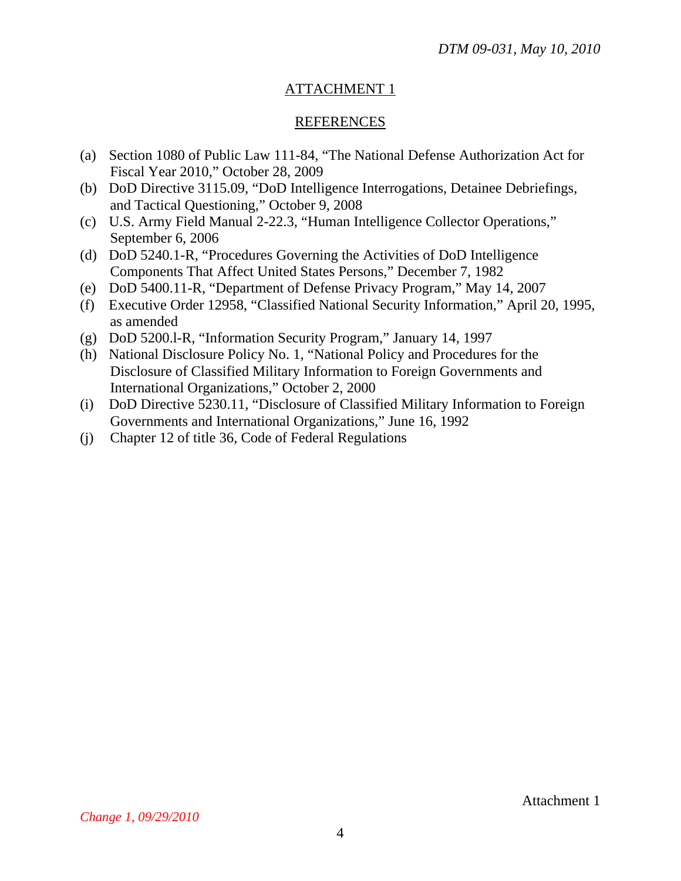# ATTACHMENT 1

### REFERENCES

- (a) Section 1080 of Public Law 111-84, "The National Defense Authorization Act for Fiscal Year 2010," October 28, 2009
- (b) DoD Directive 3115.09, "DoD Intelligence Interrogations, Detainee Debriefings, and Tactical Questioning," October 9, 2008
- (c) U.S. Army Field Manual 2-22.3, "Human Intelligence Collector Operations," September 6, 2006
- (d) DoD 5240.1-R, "Procedures Governing the Activities of DoD Intelligence Components That Affect United States Persons," December 7, 1982
- (e) DoD 5400.11-R, "Department of Defense Privacy Program," May 14, 2007
- (f) Executive Order 12958, "Classified National Security Information," April 20, 1995, as amended
- (g) DoD 5200.l-R, "Information Security Program," January 14, 1997
- (h) National Disclosure Policy No. 1, "National Policy and Procedures for the Disclosure of Classified Military Information to Foreign Governments and International Organizations," October 2, 2000
- (i) DoD Directive 5230.11, "Disclosure of Classified Military Information to Foreign Governments and International Organizations," June 16, 1992
- (j) Chapter 12 of title 36, Code of Federal Regulations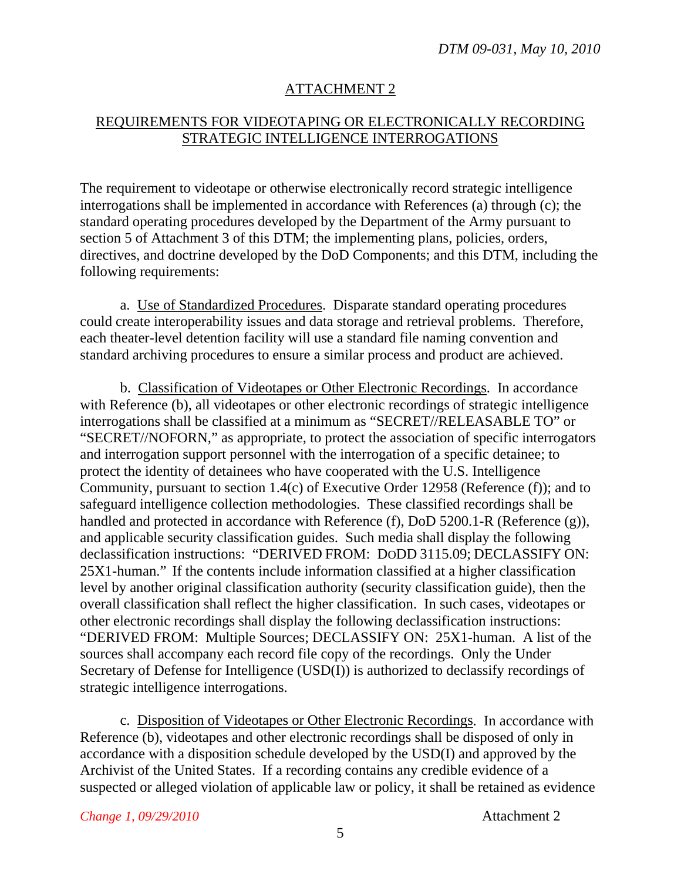### ATTACHMENT 2

### REQUIREMENTS FOR VIDEOTAPING OR ELECTRONICALLY RECORDING STRATEGIC INTELLIGENCE INTERROGATIONS

The requirement to videotape or otherwise electronically record strategic intelligence interrogations shall be implemented in accordance with References (a) through (c); the standard operating procedures developed by the Department of the Army pursuant to section 5 of Attachment 3 of this DTM; the implementing plans, policies, orders, directives, and doctrine developed by the DoD Components; and this DTM, including the following requirements:

a. Use of Standardized Procedures. Disparate standard operating procedures could create interoperability issues and data storage and retrieval problems. Therefore, each theater-level detention facility will use a standard file naming convention and standard archiving procedures to ensure a similar process and product are achieved.

b. Classification of Videotapes or Other Electronic Recordings. In accordance with Reference (b), all videotapes or other electronic recordings of strategic intelligence interrogations shall be classified at a minimum as "SECRET//RELEASABLE TO" or "SECRET//NOFORN," as appropriate, to protect the association of specific interrogators and interrogation support personnel with the interrogation of a specific detainee; to protect the identity of detainees who have cooperated with the U.S. Intelligence Community, pursuant to section 1.4(c) of Executive Order 12958 (Reference (f)); and to safeguard intelligence collection methodologies. These classified recordings shall be handled and protected in accordance with Reference (f), DoD 5200.1-R (Reference (g)), and applicable security classification guides. Such media shall display the following declassification instructions: "DERIVED FROM: DODD 3115.09; DECLASSIFY ON: 25X1-human." If the contents include information classified at a higher classification level by another original classification authority (security classification guide), then the overall classification shall reflect the higher classification. In such cases, videotapes or other electronic recordings shall display the following declassification instructions: "DERIVED FROM: Multiple Sources; DECLASSIFY ON: 25X1-human. A list of the sources shall accompany each record file copy of the recordings. Only the Under Secretary of Defense for Intelligence (USD(I)) is authorized to declassify recordings of strategic intelligence interrogations.

c. Disposition of Videotapes or Other Electronic Recordings. In accordance with Reference (b), videotapes and other electronic recordings shall be disposed of only in accordance with a disposition schedule developed by the USD(I) and approved by the Archivist of the United States. If a recording contains any credible evidence of a suspected or alleged violation of applicable law or policy, it shall be retained as evidence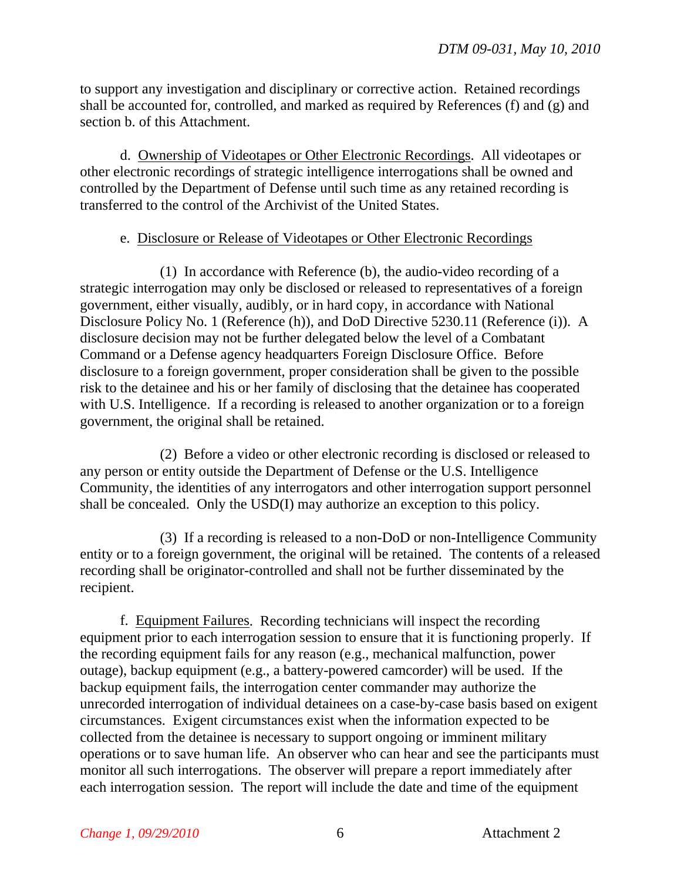to support any investigation and disciplinary or corrective action. Retained recordings shall be accounted for, controlled, and marked as required by References (f) and (g) and section b. of this Attachment.

d. Ownership of Videotapes or Other Electronic Recordings. All videotapes or other electronic recordings of strategic intelligence interrogations shall be owned and controlled by the Department of Defense until such time as any retained recording is transferred to the control of the Archivist of the United States.

#### e. Disclosure or Release of Videotapes or Other Electronic Recordings

(1) In accordance with Reference (b), the audio-video recording of a strategic interrogation may only be disclosed or released to representatives of a foreign government, either visually, audibly, or in hard copy, in accordance with National Disclosure Policy No. 1 (Reference (h)), and DoD Directive 5230.11 (Reference (i)). A disclosure decision may not be further delegated below the level of a Combatant Command or a Defense agency headquarters Foreign Disclosure Office. Before disclosure to a foreign government, proper consideration shall be given to the possible risk to the detainee and his or her family of disclosing that the detainee has cooperated with U.S. Intelligence. If a recording is released to another organization or to a foreign government, the original shall be retained.

(2) Before a video or other electronic recording is disclosed or released to any person or entity outside the Department of Defense or the U.S. Intelligence Community, the identities of any interrogators and other interrogation support personnel shall be concealed. Only the USD(I) may authorize an exception to this policy.

(3) If a recording is released to a non-DoD or non-Intelligence Community entity or to a foreign government, the original will be retained. The contents of a released recording shall be originator-controlled and shall not be further disseminated by the recipient.

f. Equipment Failures. Recording technicians will inspect the recording equipment prior to each interrogation session to ensure that it is functioning properly. If the recording equipment fails for any reason (e.g., mechanical malfunction, power outage), backup equipment (e.g., a battery-powered camcorder) will be used. If the backup equipment fails, the interrogation center commander may authorize the unrecorded interrogation of individual detainees on a case-by-case basis based on exigent circumstances. Exigent circumstances exist when the information expected to be collected from the detainee is necessary to support ongoing or imminent military operations or to save human life. An observer who can hear and see the participants must monitor all such interrogations. The observer will prepare a report immediately after each interrogation session. The report will include the date and time of the equipment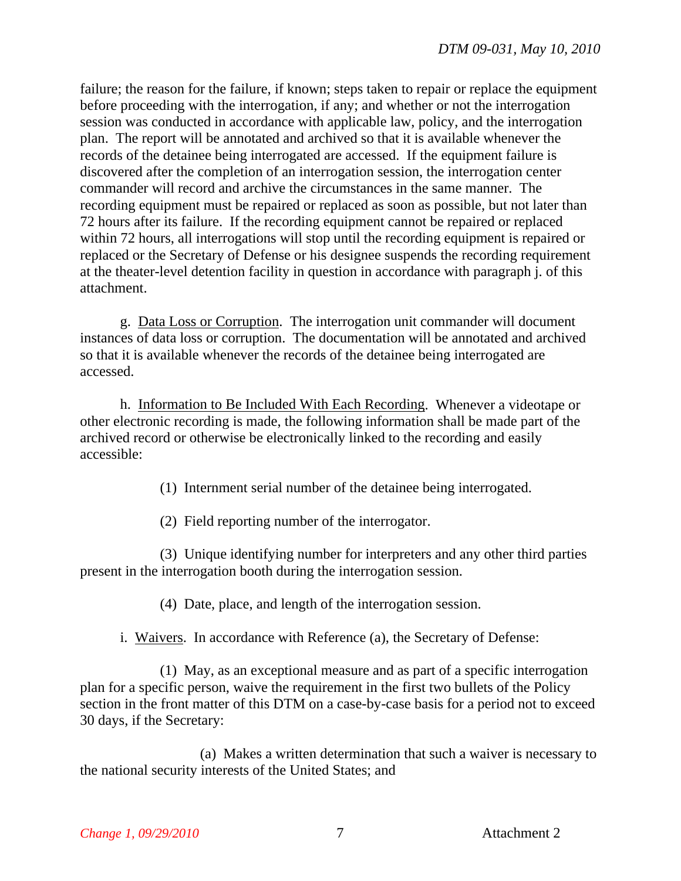failure; the reason for the failure, if known; steps taken to repair or replace the equipment before proceeding with the interrogation, if any; and whether or not the interrogation session was conducted in accordance with applicable law, policy, and the interrogation plan. The report will be annotated and archived so that it is available whenever the records of the detainee being interrogated are accessed. If the equipment failure is discovered after the completion of an interrogation session, the interrogation center commander will record and archive the circumstances in the same manner. The recording equipment must be repaired or replaced as soon as possible, but not later than 72 hours after its failure. If the recording equipment cannot be repaired or replaced within 72 hours, all interrogations will stop until the recording equipment is repaired or replaced or the Secretary of Defense or his designee suspends the recording requirement at the theater-level detention facility in question in accordance with paragraph j. of this attachment.

g. Data Loss or Corruption. The interrogation unit commander will document instances of data loss or corruption. The documentation will be annotated and archived so that it is available whenever the records of the detainee being interrogated are accessed.

h. Information to Be Included With Each Recording. Whenever a videotape or other electronic recording is made, the following information shall be made part of the archived record or otherwise be electronically linked to the recording and easily accessible:

(1) Internment serial number of the detainee being interrogated.

(2) Field reporting number of the interrogator.

(3) Unique identifying number for interpreters and any other third parties present in the interrogation booth during the interrogation session.

(4) Date, place, and length of the interrogation session.

i. Waivers. In accordance with Reference (a), the Secretary of Defense:

(1) May, as an exceptional measure and as part of a specific interrogation plan for a specific person, waive the requirement in the first two bullets of the Policy section in the front matter of this DTM on a case-by-case basis for a period not to exceed 30 days, if the Secretary:

(a) Makes a written determination that such a waiver is necessary to the national security interests of the United States; and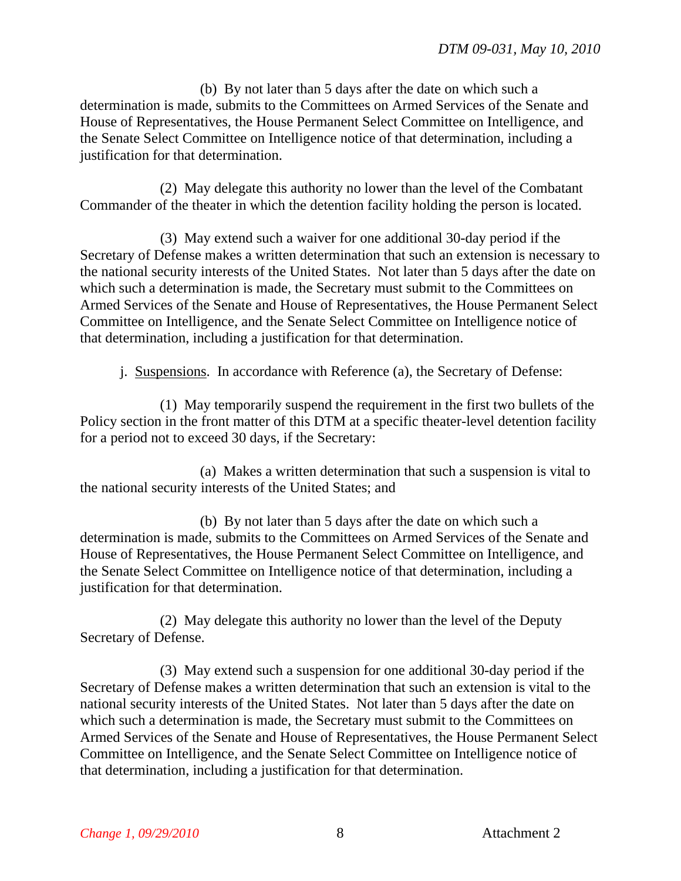(b) By not later than 5 days after the date on which such a determination is made, submits to the Committees on Armed Services of the Senate and House of Representatives, the House Permanent Select Committee on Intelligence, and the Senate Select Committee on Intelligence notice of that determination, including a justification for that determination.

(2) May delegate this authority no lower than the level of the Combatant Commander of the theater in which the detention facility holding the person is located.

(3) May extend such a waiver for one additional 30-day period if the Secretary of Defense makes a written determination that such an extension is necessary to the national security interests of the United States. Not later than 5 days after the date on which such a determination is made, the Secretary must submit to the Committees on Armed Services of the Senate and House of Representatives, the House Permanent Select Committee on Intelligence, and the Senate Select Committee on Intelligence notice of that determination, including a justification for that determination.

j. Suspensions. In accordance with Reference (a), the Secretary of Defense:

(1) May temporarily suspend the requirement in the first two bullets of the Policy section in the front matter of this DTM at a specific theater-level detention facility for a period not to exceed 30 days, if the Secretary:

(a) Makes a written determination that such a suspension is vital to the national security interests of the United States; and

(b) By not later than 5 days after the date on which such a determination is made, submits to the Committees on Armed Services of the Senate and House of Representatives, the House Permanent Select Committee on Intelligence, and the Senate Select Committee on Intelligence notice of that determination, including a justification for that determination.

(2) May delegate this authority no lower than the level of the Deputy Secretary of Defense.

(3) May extend such a suspension for one additional 30-day period if the Secretary of Defense makes a written determination that such an extension is vital to the national security interests of the United States. Not later than 5 days after the date on which such a determination is made, the Secretary must submit to the Committees on Armed Services of the Senate and House of Representatives, the House Permanent Select Committee on Intelligence, and the Senate Select Committee on Intelligence notice of that determination, including a justification for that determination.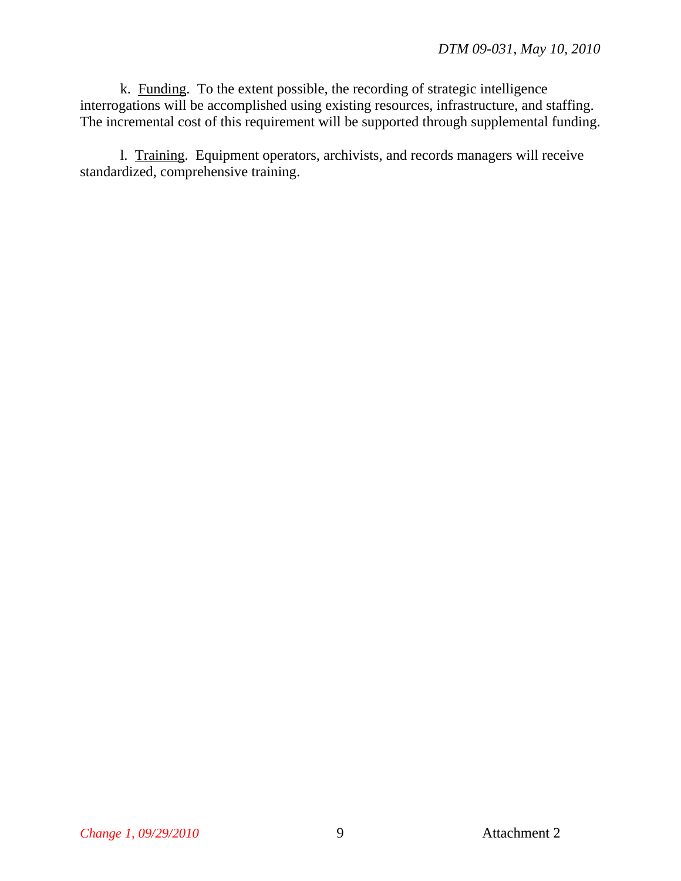k. Funding. To the extent possible, the recording of strategic intelligence interrogations will be accomplished using existing resources, infrastructure, and staffing. The incremental cost of this requirement will be supported through supplemental funding.

l. Training. Equipment operators, archivists, and records managers will receive standardized, comprehensive training.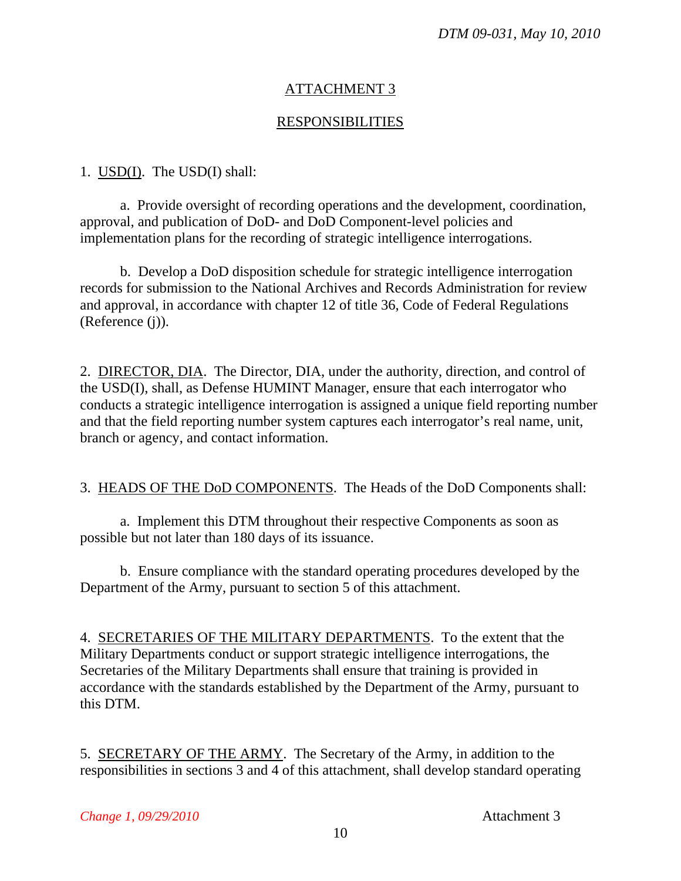## ATTACHMENT 3

### RESPONSIBILITIES

#### 1. USD(I). The USD(I) shall:

 a. Provide oversight of recording operations and the development, coordination, approval, and publication of DoD- and DoD Component-level policies and implementation plans for the recording of strategic intelligence interrogations.

 b. Develop a DoD disposition schedule for strategic intelligence interrogation records for submission to the National Archives and Records Administration for review and approval, in accordance with chapter 12 of title 36, Code of Federal Regulations (Reference (j)).

2. DIRECTOR, DIA. The Director, DIA, under the authority, direction, and control of the USD(I), shall, as Defense HUMINT Manager, ensure that each interrogator who conducts a strategic intelligence interrogation is assigned a unique field reporting number and that the field reporting number system captures each interrogator's real name, unit, branch or agency, and contact information.

3. HEADS OF THE DoD COMPONENTS. The Heads of the DoD Components shall:

a. Implement this DTM throughout their respective Components as soon as possible but not later than 180 days of its issuance.

b. Ensure compliance with the standard operating procedures developed by the Department of the Army, pursuant to section 5 of this attachment.

4. SECRETARIES OF THE MILITARY DEPARTMENTS. To the extent that the Military Departments conduct or support strategic intelligence interrogations, the Secretaries of the Military Departments shall ensure that training is provided in accordance with the standards established by the Department of the Army, pursuant to this DTM.

5. SECRETARY OF THE ARMY. The Secretary of the Army, in addition to the responsibilities in sections 3 and 4 of this attachment, shall develop standard operating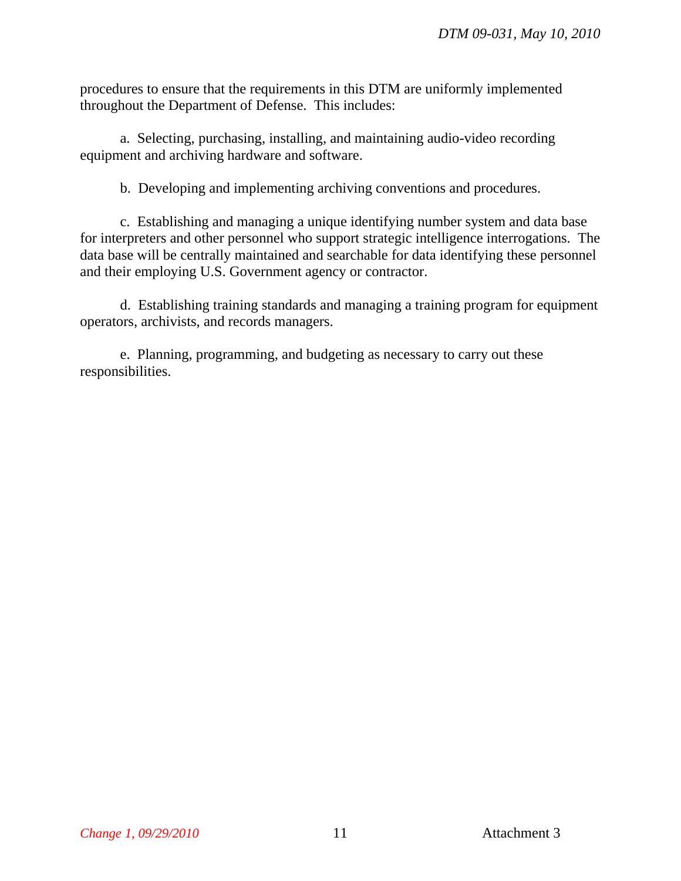procedures to ensure that the requirements in this DTM are uniformly implemented throughout the Department of Defense. This includes:

a. Selecting, purchasing, installing, and maintaining audio-video recording equipment and archiving hardware and software.

b. Developing and implementing archiving conventions and procedures.

c. Establishing and managing a unique identifying number system and data base for interpreters and other personnel who support strategic intelligence interrogations. The data base will be centrally maintained and searchable for data identifying these personnel and their employing U.S. Government agency or contractor.

d. Establishing training standards and managing a training program for equipment operators, archivists, and records managers.

e. Planning, programming, and budgeting as necessary to carry out these responsibilities.